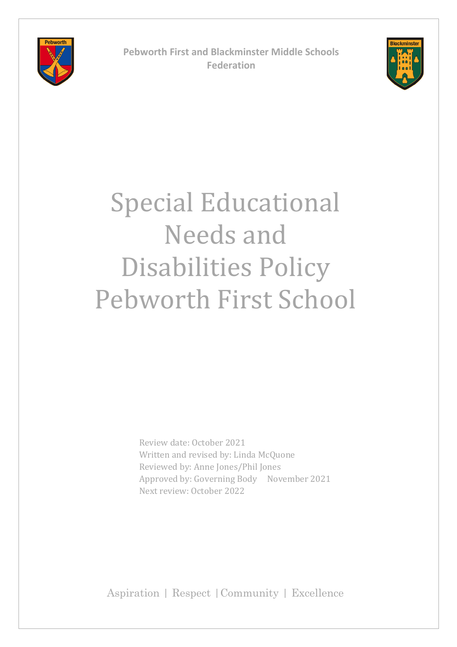

**Pebworth First and Blackminster Middle Schools Federation**



# Special Educational Needs and Disabilities Policy Pebworth First School

 Review date: October 2021 Written and revised by: Linda McQuone Reviewed by: Anne Jones/Phil Jones Approved by: Governing Body November 2021 Next review: October 2022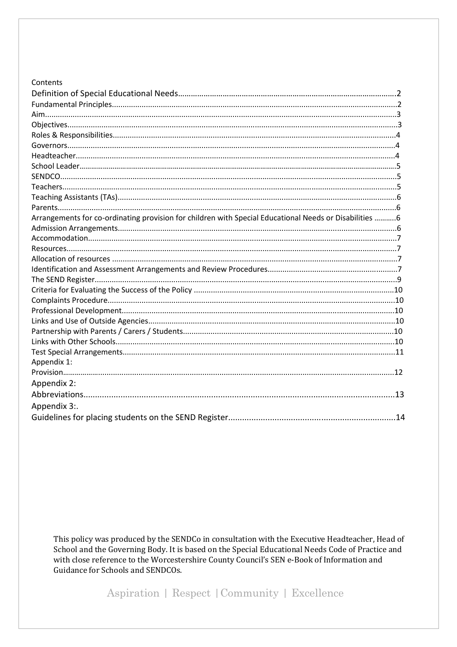#### Contents

| Arrangements for co-ordinating provision for children with Special Educational Needs or Disabilities 6 |  |
|--------------------------------------------------------------------------------------------------------|--|
|                                                                                                        |  |
|                                                                                                        |  |
|                                                                                                        |  |
|                                                                                                        |  |
|                                                                                                        |  |
|                                                                                                        |  |
|                                                                                                        |  |
|                                                                                                        |  |
|                                                                                                        |  |
|                                                                                                        |  |
|                                                                                                        |  |
|                                                                                                        |  |
|                                                                                                        |  |
| Appendix 1:                                                                                            |  |
|                                                                                                        |  |
| Appendix 2:                                                                                            |  |
|                                                                                                        |  |
| Appendix 3:.                                                                                           |  |
|                                                                                                        |  |

This policy was produced by the SENDCo in consultation with the Executive Headteacher, Head of School and the Governing Body. It is based on the Special Educational Needs Code of Practice and with close reference to the Worcestershire County Council's SEN e-Book of Information and Guidance for Schools and SENDCOs.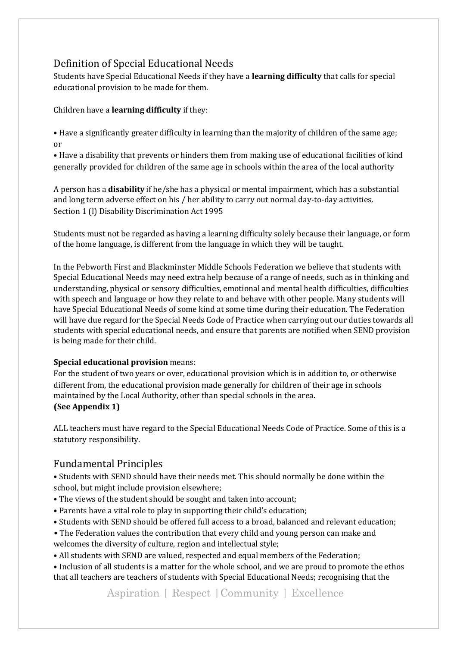## Definition of Special Educational Needs

Students have Special Educational Needs if they have a **learning difficulty** that calls for special educational provision to be made for them.

#### Children have a **learning difficulty** if they:

• Have a significantly greater difficulty in learning than the majority of children of the same age; or

• Have a disability that prevents or hinders them from making use of educational facilities of kind generally provided for children of the same age in schools within the area of the local authority

A person has a **disability** if he/she has a physical or mental impairment, which has a substantial and long term adverse effect on his / her ability to carry out normal day-to-day activities. Section 1 (l) Disability Discrimination Act 1995

Students must not be regarded as having a learning difficulty solely because their language, or form of the home language, is different from the language in which they will be taught.

In the Pebworth First and Blackminster Middle Schools Federation we believe that students with Special Educational Needs may need extra help because of a range of needs, such as in thinking and understanding, physical or sensory difficulties, emotional and mental health difficulties, difficulties with speech and language or how they relate to and behave with other people. Many students will have Special Educational Needs of some kind at some time during their education. The Federation will have due regard for the Special Needs Code of Practice when carrying out our duties towards all students with special educational needs, and ensure that parents are notified when SEND provision is being made for their child.

#### **Special educational provision** means:

For the student of two years or over, educational provision which is in addition to, or otherwise different from, the educational provision made generally for children of their age in schools maintained by the Local Authority, other than special schools in the area. **(See Appendix 1)** 

ALL teachers must have regard to the Special Educational Needs Code of Practice. Some of this is a statutory responsibility.

# Fundamental Principles

• Students with SEND should have their needs met. This should normally be done within the school, but might include provision elsewhere;

- The views of the student should be sought and taken into account;
- Parents have a vital role to play in supporting their child's education;
- Students with SEND should be offered full access to a broad, balanced and relevant education;

• The Federation values the contribution that every child and young person can make and welcomes the diversity of culture, region and intellectual style;

• All students with SEND are valued, respected and equal members of the Federation;

• Inclusion of all students is a matter for the whole school, and we are proud to promote the ethos that all teachers are teachers of students with Special Educational Needs; recognising that the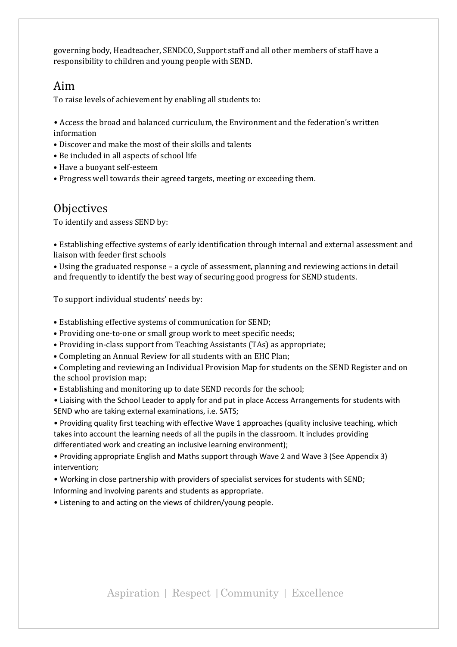governing body, Headteacher, SENDCO, Support staff and all other members of staff have a responsibility to children and young people with SEND.

### Aim

To raise levels of achievement by enabling all students to:

• Access the broad and balanced curriculum, the Environment and the federation's written information

- Discover and make the most of their skills and talents
- Be included in all aspects of school life
- Have a buoyant self-esteem
- Progress well towards their agreed targets, meeting or exceeding them.

### **Objectives**

To identify and assess SEND by:

• Establishing effective systems of early identification through internal and external assessment and liaison with feeder first schools

• Using the graduated response – a cycle of assessment, planning and reviewing actions in detail and frequently to identify the best way of securing good progress for SEND students.

To support individual students' needs by:

- Establishing effective systems of communication for SEND;
- Providing one-to-one or small group work to meet specific needs;
- Providing in-class support from Teaching Assistants (TAs) as appropriate;
- Completing an Annual Review for all students with an EHC Plan;
- Completing and reviewing an Individual Provision Map for students on the SEND Register and on the school provision map;
- Establishing and monitoring up to date SEND records for the school;

• Liaising with the School Leader to apply for and put in place Access Arrangements for students with SEND who are taking external examinations, i.e. SATS;

• Providing quality first teaching with effective Wave 1 approaches (quality inclusive teaching, which takes into account the learning needs of all the pupils in the classroom. It includes providing differentiated work and creating an inclusive learning environment);

• Providing appropriate English and Maths support through Wave 2 and Wave 3 (See Appendix 3) intervention;

• Working in close partnership with providers of specialist services for students with SEND; Informing and involving parents and students as appropriate.

• Listening to and acting on the views of children/young people.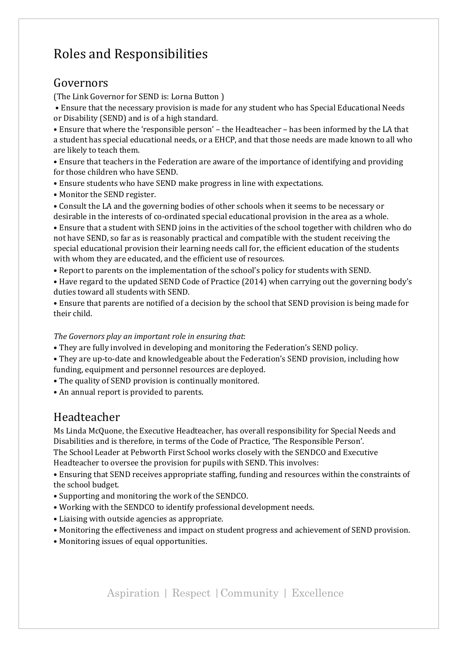# Roles and Responsibilities

# Governors

(The Link Governor for SEND is: Lorna Button )

• Ensure that the necessary provision is made for any student who has Special Educational Needs or Disability (SEND) and is of a high standard.

• Ensure that where the 'responsible person' – the Headteacher – has been informed by the LA that a student has special educational needs, or a EHCP, and that those needs are made known to all who are likely to teach them.

• Ensure that teachers in the Federation are aware of the importance of identifying and providing for those children who have SEND.

- Ensure students who have SEND make progress in line with expectations.
- Monitor the SEND register.
- Consult the LA and the governing bodies of other schools when it seems to be necessary or desirable in the interests of co-ordinated special educational provision in the area as a whole.

• Ensure that a student with SEND joins in the activities of the school together with children who do not have SEND, so far as is reasonably practical and compatible with the student receiving the special educational provision their learning needs call for, the efficient education of the students with whom they are educated, and the efficient use of resources.

- Report to parents on the implementation of the school's policy for students with SEND.
- Have regard to the updated SEND Code of Practice (2014) when carrying out the governing body's duties toward all students with SEND.
- Ensure that parents are notified of a decision by the school that SEND provision is being made for their child.

#### *The Governors play an important role in ensuring that*:

- They are fully involved in developing and monitoring the Federation's SEND policy.
- They are up-to-date and knowledgeable about the Federation's SEND provision, including how funding, equipment and personnel resources are deployed.
- The quality of SEND provision is continually monitored.
- An annual report is provided to parents.

# Headteacher

Ms Linda McQuone, the Executive Headteacher, has overall responsibility for Special Needs and Disabilities and is therefore, in terms of the Code of Practice, 'The Responsible Person'. The School Leader at Pebworth First School works closely with the SENDCO and Executive

Headteacher to oversee the provision for pupils with SEND. This involves:

• Ensuring that SEND receives appropriate staffing, funding and resources within the constraints of the school budget.

- Supporting and monitoring the work of the SENDCO.
- Working with the SENDCO to identify professional development needs.
- Liaising with outside agencies as appropriate.
- Monitoring the effectiveness and impact on student progress and achievement of SEND provision.
- Monitoring issues of equal opportunities.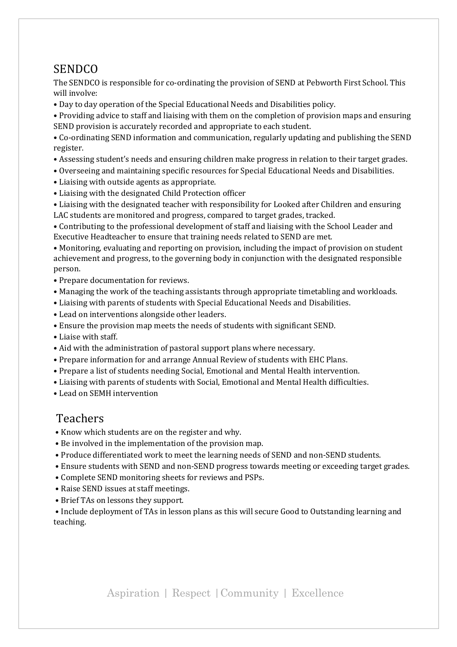# **SENDCO**

The SENDCO is responsible for co-ordinating the provision of SEND at Pebworth First School. This will involve:

• Day to day operation of the Special Educational Needs and Disabilities policy.

• Providing advice to staff and liaising with them on the completion of provision maps and ensuring SEND provision is accurately recorded and appropriate to each student.

• Co-ordinating SEND information and communication, regularly updating and publishing the SEND register.

- Assessing student's needs and ensuring children make progress in relation to their target grades.
- Overseeing and maintaining specific resources for Special Educational Needs and Disabilities.
- Liaising with outside agents as appropriate.
- Liaising with the designated Child Protection officer

• Liaising with the designated teacher with responsibility for Looked after Children and ensuring LAC students are monitored and progress, compared to target grades, tracked.

• Contributing to the professional development of staff and liaising with the School Leader and Executive Headteacher to ensure that training needs related to SEND are met.

• Monitoring, evaluating and reporting on provision, including the impact of provision on student achievement and progress, to the governing body in conjunction with the designated responsible person.

- Prepare documentation for reviews.
- Managing the work of the teaching assistants through appropriate timetabling and workloads.
- Liaising with parents of students with Special Educational Needs and Disabilities.
- Lead on interventions alongside other leaders.
- Ensure the provision map meets the needs of students with significant SEND.
- Liaise with staff.
- Aid with the administration of pastoral support plans where necessary.
- Prepare information for and arrange Annual Review of students with EHC Plans.
- Prepare a list of students needing Social, Emotional and Mental Health intervention.
- Liaising with parents of students with Social, Emotional and Mental Health difficulties.
- Lead on SEMH intervention

### Teachers

- Know which students are on the register and why.
- Be involved in the implementation of the provision map.
- Produce differentiated work to meet the learning needs of SEND and non-SEND students.
- Ensure students with SEND and non-SEND progress towards meeting or exceeding target grades.
- Complete SEND monitoring sheets for reviews and PSPs.
- Raise SEND issues at staff meetings.
- Brief TAs on lessons they support.

• Include deployment of TAs in lesson plans as this will secure Good to Outstanding learning and teaching.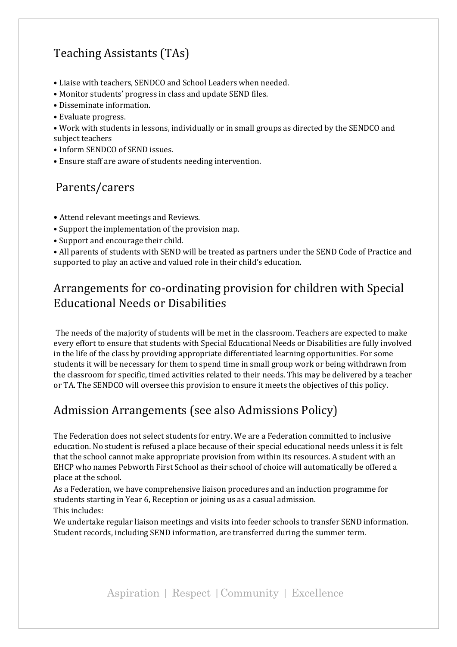# Teaching Assistants (TAs)

- Liaise with teachers, SENDCO and School Leaders when needed.
- Monitor students' progress in class and update SEND files.
- Disseminate information.
- Evaluate progress.
- Work with students in lessons, individually or in small groups as directed by the SENDCO and subject teachers
- Inform SENDCO of SEND issues.
- Ensure staff are aware of students needing intervention.

# Parents/carers

- Attend relevant meetings and Reviews.
- Support the implementation of the provision map.
- Support and encourage their child.

• All parents of students with SEND will be treated as partners under the SEND Code of Practice and supported to play an active and valued role in their child's education.

# Arrangements for co-ordinating provision for children with Special Educational Needs or Disabilities

The needs of the majority of students will be met in the classroom. Teachers are expected to make every effort to ensure that students with Special Educational Needs or Disabilities are fully involved in the life of the class by providing appropriate differentiated learning opportunities. For some students it will be necessary for them to spend time in small group work or being withdrawn from the classroom for specific, timed activities related to their needs. This may be delivered by a teacher or TA. The SENDCO will oversee this provision to ensure it meets the objectives of this policy.

# Admission Arrangements (see also Admissions Policy)

The Federation does not select students for entry. We are a Federation committed to inclusive education. No student is refused a place because of their special educational needs unless it is felt that the school cannot make appropriate provision from within its resources. A student with an EHCP who names Pebworth First School as their school of choice will automatically be offered a place at the school.

As a Federation, we have comprehensive liaison procedures and an induction programme for students starting in Year 6, Reception or joining us as a casual admission. This includes:

We undertake regular liaison meetings and visits into feeder schools to transfer SEND information. Student records, including SEND information, are transferred during the summer term.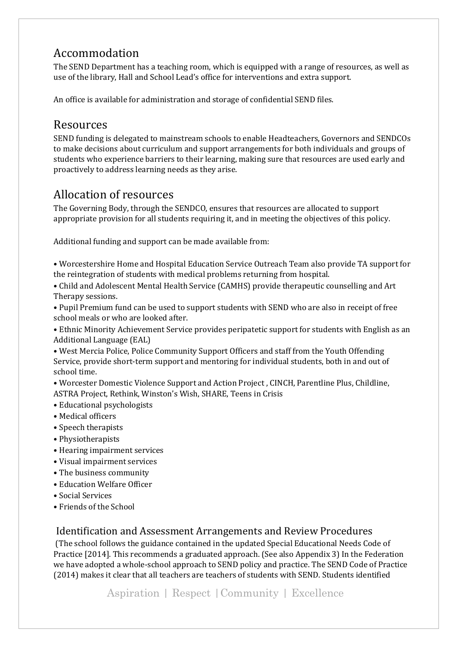# Accommodation

The SEND Department has a teaching room, which is equipped with a range of resources, as well as use of the library, Hall and School Lead's office for interventions and extra support.

An office is available for administration and storage of confidential SEND files.

# Resources

SEND funding is delegated to mainstream schools to enable Headteachers, Governors and SENDCOs to make decisions about curriculum and support arrangements for both individuals and groups of students who experience barriers to their learning, making sure that resources are used early and proactively to address learning needs as they arise.

# Allocation of resources

The Governing Body, through the SENDCO, ensures that resources are allocated to support appropriate provision for all students requiring it, and in meeting the objectives of this policy.

Additional funding and support can be made available from:

• Worcestershire Home and Hospital Education Service Outreach Team also provide TA support for the reintegration of students with medical problems returning from hospital.

• Child and Adolescent Mental Health Service (CAMHS) provide therapeutic counselling and Art Therapy sessions.

- Pupil Premium fund can be used to support students with SEND who are also in receipt of free school meals or who are looked after.
- Ethnic Minority Achievement Service provides peripatetic support for students with English as an Additional Language (EAL)

• West Mercia Police, Police Community Support Officers and staff from the Youth Offending Service, provide short-term support and mentoring for individual students, both in and out of school time.

• Worcester Domestic Violence Support and Action Project , CINCH, Parentline Plus, Childline, ASTRA Project, Rethink, Winston's Wish, SHARE, Teens in Crisis

- Educational psychologists
- Medical officers
- Speech therapists
- Physiotherapists
- Hearing impairment services
- Visual impairment services
- The business community
- Education Welfare Officer
- Social Services
- Friends of the School

### Identification and Assessment Arrangements and Review Procedures

(The school follows the guidance contained in the updated Special Educational Needs Code of Practice [2014]. This recommends a graduated approach. (See also Appendix 3) In the Federation we have adopted a whole-school approach to SEND policy and practice. The SEND Code of Practice (2014) makes it clear that all teachers are teachers of students with SEND. Students identified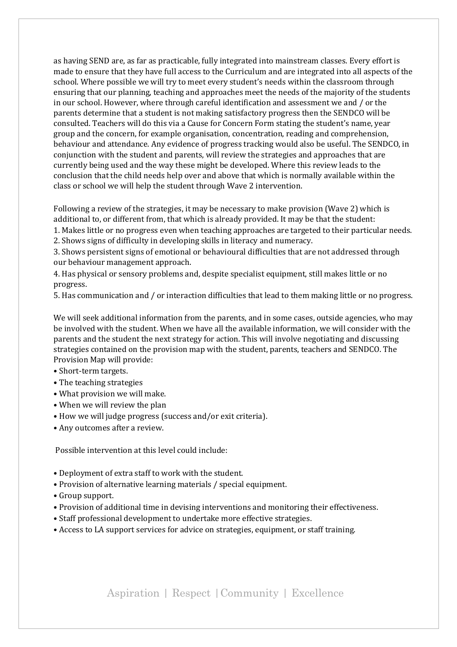as having SEND are, as far as practicable, fully integrated into mainstream classes. Every effort is made to ensure that they have full access to the Curriculum and are integrated into all aspects of the school. Where possible we will try to meet every student's needs within the classroom through ensuring that our planning, teaching and approaches meet the needs of the majority of the students in our school. However, where through careful identification and assessment we and / or the parents determine that a student is not making satisfactory progress then the SENDCO will be consulted. Teachers will do this via a Cause for Concern Form stating the student's name, year group and the concern, for example organisation, concentration, reading and comprehension, behaviour and attendance. Any evidence of progress tracking would also be useful. The SENDCO, in conjunction with the student and parents, will review the strategies and approaches that are currently being used and the way these might be developed. Where this review leads to the conclusion that the child needs help over and above that which is normally available within the class or school we will help the student through Wave 2 intervention.

Following a review of the strategies, it may be necessary to make provision (Wave 2) which is additional to, or different from, that which is already provided. It may be that the student:

1. Makes little or no progress even when teaching approaches are targeted to their particular needs. 2. Shows signs of difficulty in developing skills in literacy and numeracy.

3. Shows persistent signs of emotional or behavioural difficulties that are not addressed through our behaviour management approach.

4. Has physical or sensory problems and, despite specialist equipment, still makes little or no progress.

5. Has communication and / or interaction difficulties that lead to them making little or no progress.

We will seek additional information from the parents, and in some cases, outside agencies, who may be involved with the student. When we have all the available information, we will consider with the parents and the student the next strategy for action. This will involve negotiating and discussing strategies contained on the provision map with the student, parents, teachers and SENDCO. The Provision Map will provide:

- Short-term targets.
- The teaching strategies
- What provision we will make.
- When we will review the plan
- How we will judge progress (success and/or exit criteria).
- Any outcomes after a review.

Possible intervention at this level could include:

- Deployment of extra staff to work with the student.
- Provision of alternative learning materials / special equipment.
- Group support.
- Provision of additional time in devising interventions and monitoring their effectiveness.
- Staff professional development to undertake more effective strategies.
- Access to LA support services for advice on strategies, equipment, or staff training.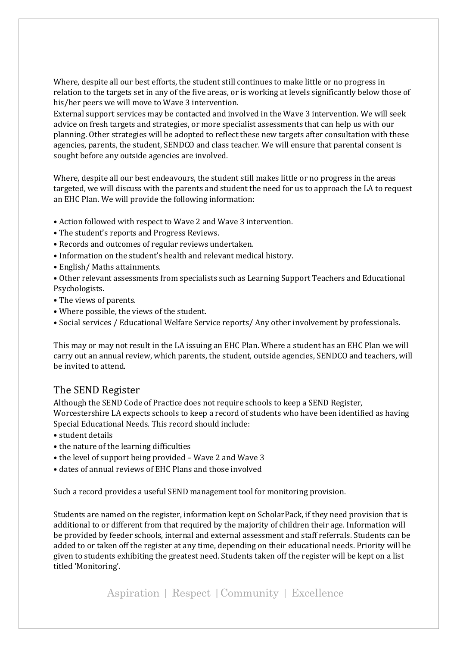Where, despite all our best efforts, the student still continues to make little or no progress in relation to the targets set in any of the five areas, or is working at levels significantly below those of his/her peers we will move to Wave 3 intervention.

External support services may be contacted and involved in the Wave 3 intervention. We will seek advice on fresh targets and strategies, or more specialist assessments that can help us with our planning. Other strategies will be adopted to reflect these new targets after consultation with these agencies, parents, the student, SENDCO and class teacher. We will ensure that parental consent is sought before any outside agencies are involved.

Where, despite all our best endeavours, the student still makes little or no progress in the areas targeted, we will discuss with the parents and student the need for us to approach the LA to request an EHC Plan. We will provide the following information:

- Action followed with respect to Wave 2 and Wave 3 intervention.
- The student's reports and Progress Reviews.
- Records and outcomes of regular reviews undertaken.
- Information on the student's health and relevant medical history.
- English/ Maths attainments.
- Other relevant assessments from specialists such as Learning Support Teachers and Educational Psychologists.
- The views of parents.
- Where possible, the views of the student.
- Social services / Educational Welfare Service reports/ Any other involvement by professionals.

This may or may not result in the LA issuing an EHC Plan. Where a student has an EHC Plan we will carry out an annual review, which parents, the student, outside agencies, SENDCO and teachers, will be invited to attend.

#### The SEND Register

Although the SEND Code of Practice does not require schools to keep a SEND Register, Worcestershire LA expects schools to keep a record of students who have been identified as having Special Educational Needs. This record should include:

- student details
- the nature of the learning difficulties
- the level of support being provided Wave 2 and Wave 3
- dates of annual reviews of EHC Plans and those involved

Such a record provides a useful SEND management tool for monitoring provision.

Students are named on the register, information kept on ScholarPack, if they need provision that is additional to or different from that required by the majority of children their age. Information will be provided by feeder schools, internal and external assessment and staff referrals. Students can be added to or taken off the register at any time, depending on their educational needs. Priority will be given to students exhibiting the greatest need. Students taken off the register will be kept on a list titled 'Monitoring'.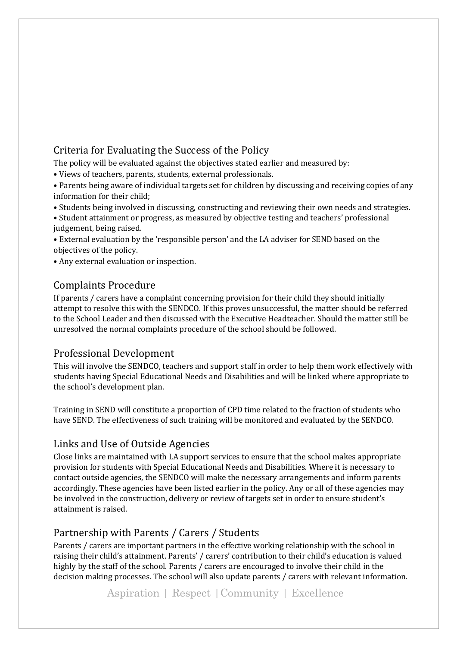## Criteria for Evaluating the Success of the Policy

The policy will be evaluated against the objectives stated earlier and measured by:

• Views of teachers, parents, students, external professionals.

• Parents being aware of individual targets set for children by discussing and receiving copies of any information for their child;

• Students being involved in discussing, constructing and reviewing their own needs and strategies.

• Student attainment or progress, as measured by objective testing and teachers' professional judgement, being raised.

• External evaluation by the 'responsible person' and the LA adviser for SEND based on the objectives of the policy.

• Any external evaluation or inspection.

### Complaints Procedure

If parents / carers have a complaint concerning provision for their child they should initially attempt to resolve this with the SENDCO. If this proves unsuccessful, the matter should be referred to the School Leader and then discussed with the Executive Headteacher. Should the matter still be unresolved the normal complaints procedure of the school should be followed.

### Professional Development

This will involve the SENDCO, teachers and support staff in order to help them work effectively with students having Special Educational Needs and Disabilities and will be linked where appropriate to the school's development plan.

Training in SEND will constitute a proportion of CPD time related to the fraction of students who have SEND. The effectiveness of such training will be monitored and evaluated by the SENDCO.

### Links and Use of Outside Agencies

Close links are maintained with LA support services to ensure that the school makes appropriate provision for students with Special Educational Needs and Disabilities. Where it is necessary to contact outside agencies, the SENDCO will make the necessary arrangements and inform parents accordingly. These agencies have been listed earlier in the policy. Any or all of these agencies may be involved in the construction, delivery or review of targets set in order to ensure student's attainment is raised.

# Partnership with Parents / Carers / Students

Parents / carers are important partners in the effective working relationship with the school in raising their child's attainment. Parents' / carers' contribution to their child's education is valued highly by the staff of the school. Parents / carers are encouraged to involve their child in the decision making processes. The school will also update parents / carers with relevant information.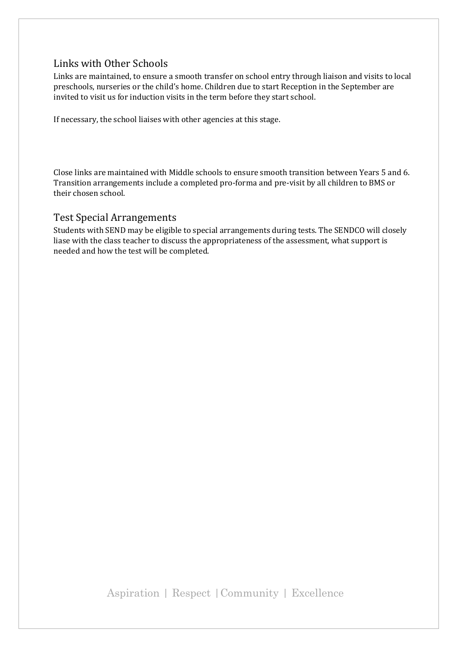### Links with Other Schools

Links are maintained, to ensure a smooth transfer on school entry through liaison and visits to local preschools, nurseries or the child's home. Children due to start Reception in the September are invited to visit us for induction visits in the term before they start school.

If necessary, the school liaises with other agencies at this stage.

Close links are maintained with Middle schools to ensure smooth transition between Years 5 and 6. Transition arrangements include a completed pro-forma and pre-visit by all children to BMS or their chosen school.

#### Test Special Arrangements

Students with SEND may be eligible to special arrangements during tests. The SENDCO will closely liase with the class teacher to discuss the appropriateness of the assessment, what support is needed and how the test will be completed.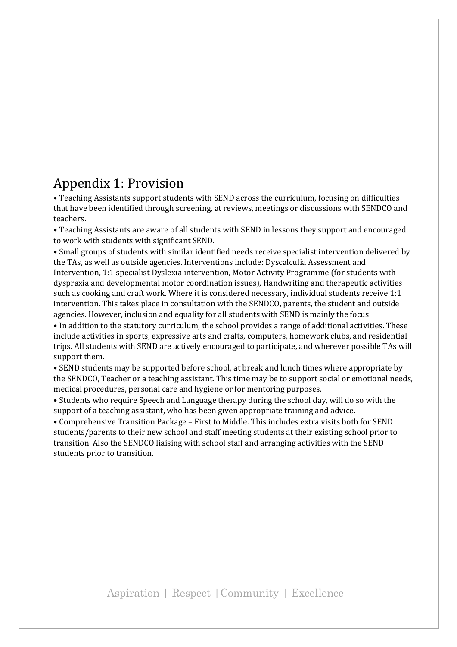# Appendix 1: Provision

• Teaching Assistants support students with SEND across the curriculum, focusing on difficulties that have been identified through screening, at reviews, meetings or discussions with SENDCO and teachers.

• Teaching Assistants are aware of all students with SEND in lessons they support and encouraged to work with students with significant SEND.

• Small groups of students with similar identified needs receive specialist intervention delivered by the TAs, as well as outside agencies. Interventions include: Dyscalculia Assessment and Intervention, 1:1 specialist Dyslexia intervention, Motor Activity Programme (for students with dyspraxia and developmental motor coordination issues), Handwriting and therapeutic activities such as cooking and craft work. Where it is considered necessary, individual students receive 1:1 intervention. This takes place in consultation with the SENDCO, parents, the student and outside agencies. However, inclusion and equality for all students with SEND is mainly the focus.

• In addition to the statutory curriculum, the school provides a range of additional activities. These include activities in sports, expressive arts and crafts, computers, homework clubs, and residential trips. All students with SEND are actively encouraged to participate, and wherever possible TAs will support them.

• SEND students may be supported before school, at break and lunch times where appropriate by the SENDCO, Teacher or a teaching assistant. This time may be to support social or emotional needs, medical procedures, personal care and hygiene or for mentoring purposes.

• Students who require Speech and Language therapy during the school day, will do so with the support of a teaching assistant, who has been given appropriate training and advice.

• Comprehensive Transition Package – First to Middle. This includes extra visits both for SEND students/parents to their new school and staff meeting students at their existing school prior to transition. Also the SENDCO liaising with school staff and arranging activities with the SEND students prior to transition.